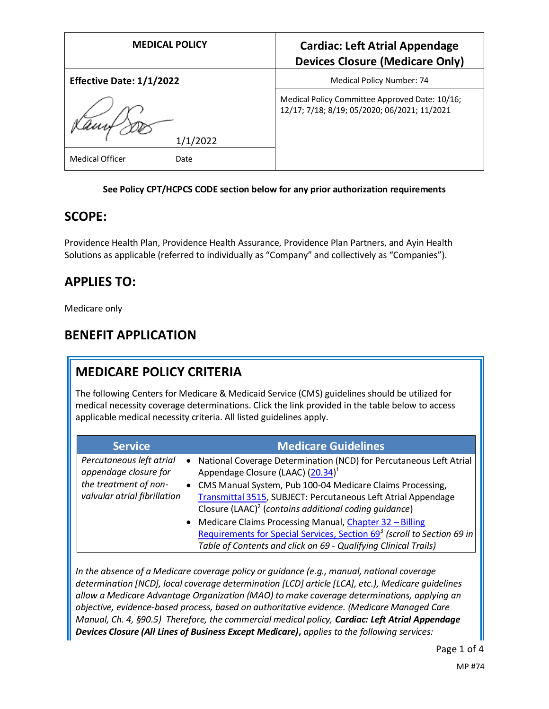| <b>MEDICAL POLICY</b>           | <b>Cardiac: Left Atrial Appendage</b><br><b>Devices Closure (Medicare Only)</b>                |
|---------------------------------|------------------------------------------------------------------------------------------------|
| <b>Effective Date: 1/1/2022</b> | Medical Policy Number: 74                                                                      |
| 1/1/2022                        | Medical Policy Committee Approved Date: 10/16;<br>12/17; 7/18; 8/19; 05/2020; 06/2021; 11/2021 |
| Medical Officer<br>Date         |                                                                                                |

#### **See Policy CPT/HCPCS CODE section below for any prior authorization requirements**

#### **SCOPE:**

Providence Health Plan, Providence Health Assurance, Providence Plan Partners, and Ayin Health Solutions as applicable (referred to individually as "Company" and collectively as "Companies").

#### **APPLIES TO:**

Medicare only

#### **BENEFIT APPLICATION**

# **MEDICARE POLICY CRITERIA**

The following Centers for Medicare & Medicaid Service (CMS) guidelines should be utilized for medical necessity coverage determinations. Click the link provided in the table below to access applicable medical necessity criteria. All listed guidelines apply.

| <b>Service</b>                                                                                             | <b>Medicare Guidelines</b>                                                                                                                                                                                                                        |
|------------------------------------------------------------------------------------------------------------|---------------------------------------------------------------------------------------------------------------------------------------------------------------------------------------------------------------------------------------------------|
| Percutaneous left atrial<br>appendage closure for<br>the treatment of non-<br>valvular atrial fibrillation | National Coverage Determination (NCD) for Percutaneous Left Atrial<br>Appendage Closure (LAAC) (20.34) <sup>1</sup><br>CMS Manual System, Pub 100-04 Medicare Claims Processing,<br>Transmittal 3515, SUBJECT: Percutaneous Left Atrial Appendage |
|                                                                                                            | Closure (LAAC) <sup>2</sup> (contains additional coding quidance)<br>Medicare Claims Processing Manual, Chapter 32 - Billing                                                                                                                      |
|                                                                                                            | Requirements for Special Services, Section 69 <sup>3</sup> (scroll to Section 69 in<br>Table of Contents and click on 69 - Qualifying Clinical Trails)                                                                                            |

*In the absence of a Medicare coverage policy or guidance (e.g., manual, national coverage determination [NCD], local coverage determination [LCD] article [LCA], etc.), Medicare guidelines allow a Medicare Advantage Organization (MAO) to make coverage determinations, applying an objective, evidence-based process, based on authoritative evidence. (Medicare Managed Care Manual, Ch. 4, §90.5) Therefore, the commercial medical policy, Cardiac: Left Atrial Appendage Devices Closure (All Lines of Business Except Medicare)***,** *applies to the following services:*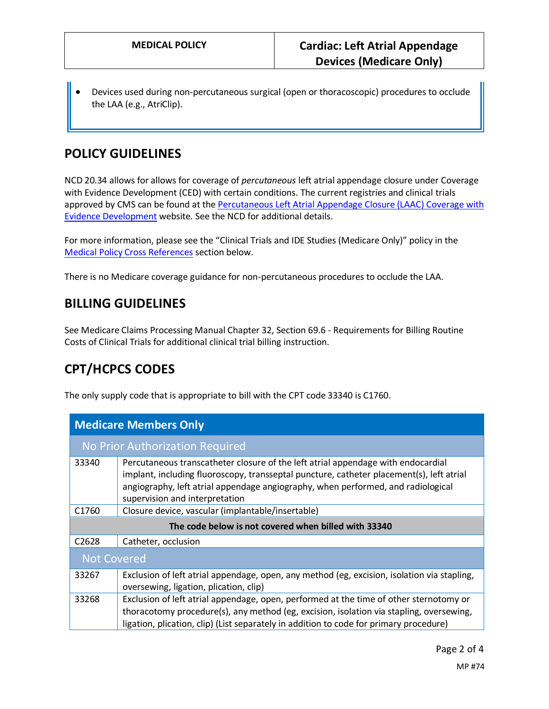• Devices used during non-percutaneous surgical (open or thoracoscopic) procedures to occlude the LAA (e.g., AtriClip).

# **POLICY GUIDELINES**

NCD 20.34 allows for allows for coverage of *percutaneous* left atrial appendage closure under Coverage with Evidence Development (CED) with certain conditions. The current registries and clinical trials approved by CMS can be found at the [Percutaneous Left Atrial Appendage Closure \(LAAC\)](https://www.cms.gov/Medicare/Coverage/Coverage-with-Evidence-Development/LAAC.html) Coverage with Evidence Development website. See the NCD for additional details.

For more information, please see the "Clinical Trials and IDE Studies (Medicare Only)" policy in the [Medical Policy Cross References](#page-2-0) section below.

There is no Medicare coverage guidance for non-percutaneous procedures to occlude the LAA.

#### **BILLING GUIDELINES**

See Medicare Claims Processing Manual Chapter 32, Section 69.6 - Requirements for Billing Routine Costs of Clinical Trials for additional clinical trial billing instruction.

# **CPT/HCPCS CODES**

The only supply code that is appropriate to bill with the CPT code 33340 is C1760.

| <b>Medicare Members Only</b>                         |                                                                                                                                                                                                                                                                                                    |  |
|------------------------------------------------------|----------------------------------------------------------------------------------------------------------------------------------------------------------------------------------------------------------------------------------------------------------------------------------------------------|--|
| No Prior Authorization Required                      |                                                                                                                                                                                                                                                                                                    |  |
| 33340                                                | Percutaneous transcatheter closure of the left atrial appendage with endocardial<br>implant, including fluoroscopy, transseptal puncture, catheter placement(s), left atrial<br>angiography, left atrial appendage angiography, when performed, and radiological<br>supervision and interpretation |  |
| C <sub>1760</sub>                                    | Closure device, vascular (implantable/insertable)                                                                                                                                                                                                                                                  |  |
| The code below is not covered when billed with 33340 |                                                                                                                                                                                                                                                                                                    |  |
| C <sub>2628</sub>                                    | Catheter, occlusion                                                                                                                                                                                                                                                                                |  |
| <b>Not Covered</b>                                   |                                                                                                                                                                                                                                                                                                    |  |
| 33267                                                | Exclusion of left atrial appendage, open, any method (eg, excision, isolation via stapling,<br>oversewing, ligation, plication, clip)                                                                                                                                                              |  |
| 33268                                                | Exclusion of left atrial appendage, open, performed at the time of other sternotomy or<br>thoracotomy procedure(s), any method (eg, excision, isolation via stapling, oversewing,<br>ligation, plication, clip) (List separately in addition to code for primary procedure)                        |  |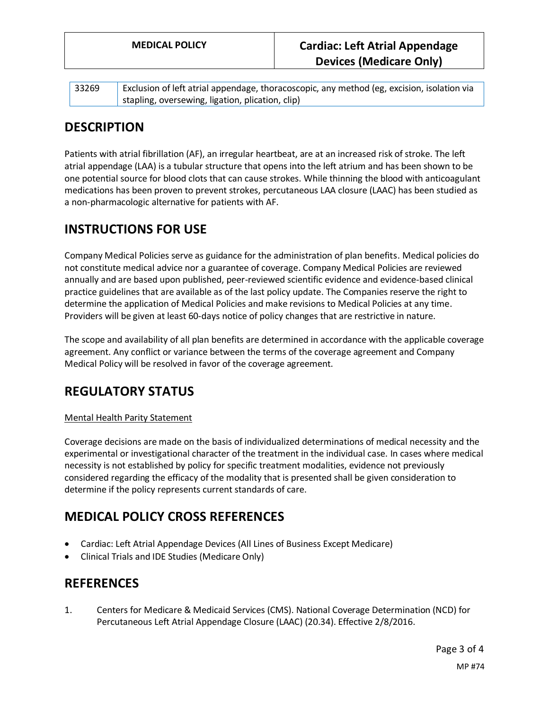| 33269 | Exclusion of left atrial appendage, thoracoscopic, any method (eg, excision, isolation via |
|-------|--------------------------------------------------------------------------------------------|
|       | stapling, oversewing, ligation, plication, clip)                                           |

# **DESCRIPTION**

Patients with atrial fibrillation (AF), an irregular heartbeat, are at an increased risk of stroke. The left atrial appendage (LAA) is a tubular structure that opens into the left atrium and has been shown to be one potential source for blood clots that can cause strokes. While thinning the blood with anticoagulant medications has been proven to prevent strokes, percutaneous LAA closure (LAAC) has been studied as a non-pharmacologic alternative for patients with AF.

# **INSTRUCTIONS FOR USE**

Company Medical Policies serve as guidance for the administration of plan benefits. Medical policies do not constitute medical advice nor a guarantee of coverage. Company Medical Policies are reviewed annually and are based upon published, peer-reviewed scientific evidence and evidence-based clinical practice guidelines that are available as of the last policy update. The Companies reserve the right to determine the application of Medical Policies and make revisions to Medical Policies at any time. Providers will be given at least 60-days notice of policy changes that are restrictive in nature.

The scope and availability of all plan benefits are determined in accordance with the applicable coverage agreement. Any conflict or variance between the terms of the coverage agreement and Company Medical Policy will be resolved in favor of the coverage agreement.

# **REGULATORY STATUS**

#### Mental Health Parity Statement

Coverage decisions are made on the basis of individualized determinations of medical necessity and the experimental or investigational character of the treatment in the individual case. In cases where medical necessity is not established by policy for specific treatment modalities, evidence not previously considered regarding the efficacy of the modality that is presented shall be given consideration to determine if the policy represents current standards of care.

# <span id="page-2-0"></span>**MEDICAL POLICY CROSS REFERENCES**

- Cardiac: Left Atrial Appendage Devices (All Lines of Business Except Medicare)
- Clinical Trials and IDE Studies (Medicare Only)

# **REFERENCES**

1. Centers for Medicare & Medicaid Services (CMS). National Coverage Determination (NCD) for Percutaneous Left Atrial Appendage Closure (LAAC) (20.34). Effective 2/8/2016.